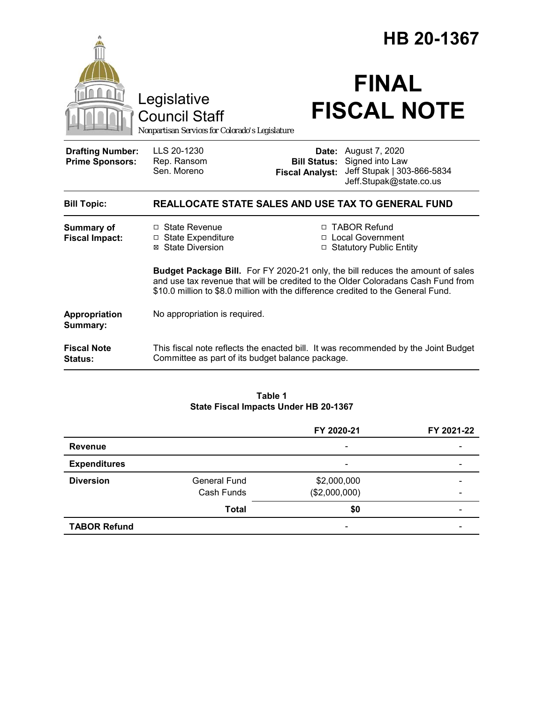|                                                   |                                                                                                                                                                                                                                                                | HB 20-1367                                    |                                                                                                         |  |
|---------------------------------------------------|----------------------------------------------------------------------------------------------------------------------------------------------------------------------------------------------------------------------------------------------------------------|-----------------------------------------------|---------------------------------------------------------------------------------------------------------|--|
|                                                   | Legislative<br><b>Council Staff</b><br>Nonpartisan Services for Colorado's Legislature                                                                                                                                                                         |                                               | <b>FINAL</b><br><b>FISCAL NOTE</b>                                                                      |  |
| <b>Drafting Number:</b><br><b>Prime Sponsors:</b> | LLS 20-1230<br>Rep. Ransom<br>Sen. Moreno                                                                                                                                                                                                                      | <b>Bill Status:</b><br><b>Fiscal Analyst:</b> | <b>Date:</b> August 7, 2020<br>Signed into Law<br>Jeff Stupak   303-866-5834<br>Jeff.Stupak@state.co.us |  |
| <b>Bill Topic:</b>                                | <b>REALLOCATE STATE SALES AND USE TAX TO GENERAL FUND</b>                                                                                                                                                                                                      |                                               |                                                                                                         |  |
| <b>Summary of</b><br><b>Fiscal Impact:</b>        | $\Box$ State Revenue<br>□ State Expenditure<br><b>State Diversion</b><br>⊠                                                                                                                                                                                     |                                               | □ TABOR Refund<br>□ Local Government<br><b>Statutory Public Entity</b>                                  |  |
|                                                   | <b>Budget Package Bill.</b> For FY 2020-21 only, the bill reduces the amount of sales<br>and use tax revenue that will be credited to the Older Coloradans Cash Fund from<br>\$10.0 million to \$8.0 million with the difference credited to the General Fund. |                                               |                                                                                                         |  |
| Appropriation<br>Summary:                         | No appropriation is required.                                                                                                                                                                                                                                  |                                               |                                                                                                         |  |
| <b>Fiscal Note</b><br>Status:                     | This fiscal note reflects the enacted bill. It was recommended by the Joint Budget<br>Committee as part of its budget balance package.                                                                                                                         |                                               |                                                                                                         |  |

#### **Table 1 State Fiscal Impacts Under HB 20-1367**

|                     |                     | FY 2020-21               | FY 2021-22               |
|---------------------|---------------------|--------------------------|--------------------------|
| Revenue             |                     | $\overline{\phantom{a}}$ |                          |
| <b>Expenditures</b> |                     | $\overline{\phantom{a}}$ |                          |
| <b>Diversion</b>    | <b>General Fund</b> | \$2,000,000              |                          |
|                     | Cash Funds          | (\$2,000,000)            | $\overline{\phantom{0}}$ |
|                     | <b>Total</b>        | \$0                      | $\overline{\phantom{0}}$ |
| <b>TABOR Refund</b> |                     | $\overline{\phantom{a}}$ |                          |